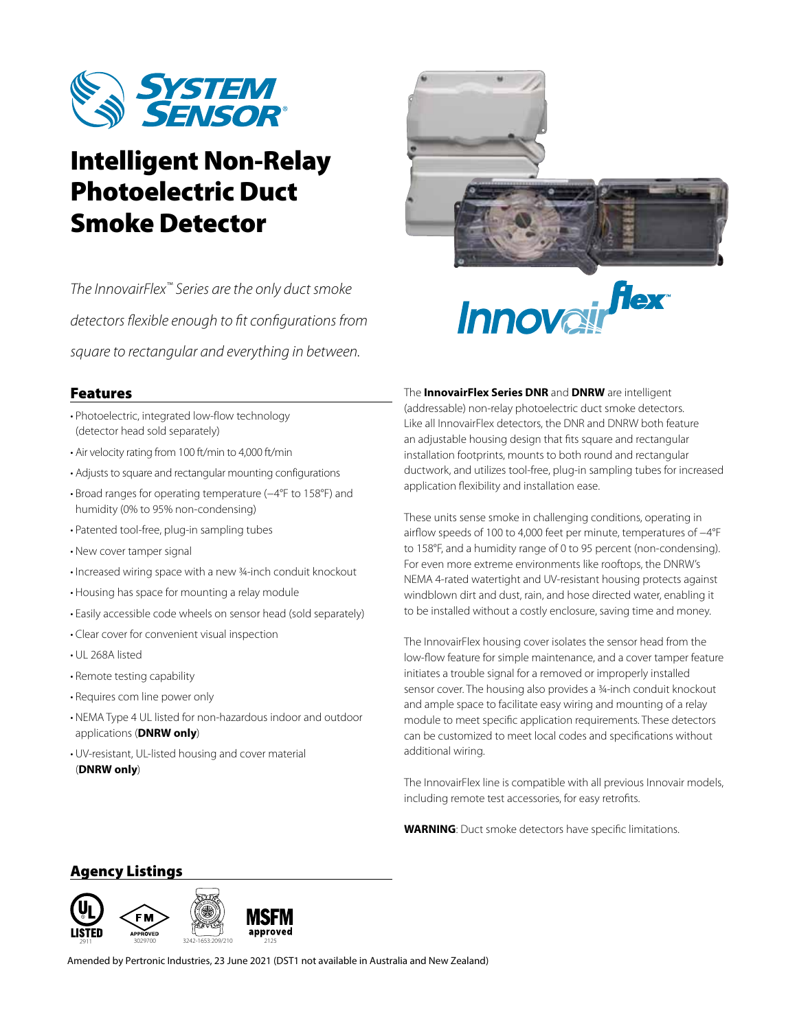

# Intelligent Non-Relay Photoelectric Duct Smoke Detector

*The InnovairFlex™ Series are the only duct smoke detectors flexible enough to fit configurations from square to rectangular and everything in between.*



## Features

- Photoelectric, integrated low-flow technology (detector head sold separately)
- Air velocity rating from 100 ft/min to 4,000 ft/min
- Adjusts to square and rectangular mounting configurations
- Broad ranges for operating temperature (−4°F to 158°F) and humidity (0% to 95% non-condensing)
- Patented tool-free, plug-in sampling tubes
- New cover tamper signal
- Increased wiring space with a new ¾-inch conduit knockout
- Housing has space for mounting a relay module
- Easily accessible code wheels on sensor head (sold separately)
- Clear cover for convenient visual inspection
- UL 268A listed
- Remote testing capability
- Requires com line power only
- NEMA Type 4 UL listed for non-hazardous indoor and outdoor applications (**DNRW only**)
- UV-resistant, UL-listed housing and cover material (**DNRW only**)

The **InnovairFlex Series DNR** and **DNRW** are intelligent (addressable) non-relay photoelectric duct smoke detectors. Like all InnovairFlex detectors, the DNR and DNRW both feature an adjustable housing design that fits square and rectangular installation footprints, mounts to both round and rectangular ductwork, and utilizes tool-free, plug-in sampling tubes for increased application flexibility and installation ease.

These units sense smoke in challenging conditions, operating in airflow speeds of 100 to 4,000 feet per minute, temperatures of −4°F to 158°F, and a humidity range of 0 to 95 percent (non-condensing). For even more extreme environments like rooftops, the DNRW's NEMA 4-rated watertight and UV-resistant housing protects against windblown dirt and dust, rain, and hose directed water, enabling it to be installed without a costly enclosure, saving time and money.

The InnovairFlex housing cover isolates the sensor head from the low-flow feature for simple maintenance, and a cover tamper feature initiates a trouble signal for a removed or improperly installed sensor cover. The housing also provides a 3/4-inch conduit knockout and ample space to facilitate easy wiring and mounting of a relay module to meet specific application requirements. These detectors can be customized to meet local codes and specifications without additional wiring.

The InnovairFlex line is compatible with all previous Innovair models, including remote test accessories, for easy retrofits.

**WARNING**: Duct smoke detectors have specific limitations.

# Agency Listings



Amended by Pertronic Industries, 23 June 2021 (DST1 not available in Australia and New Zealand)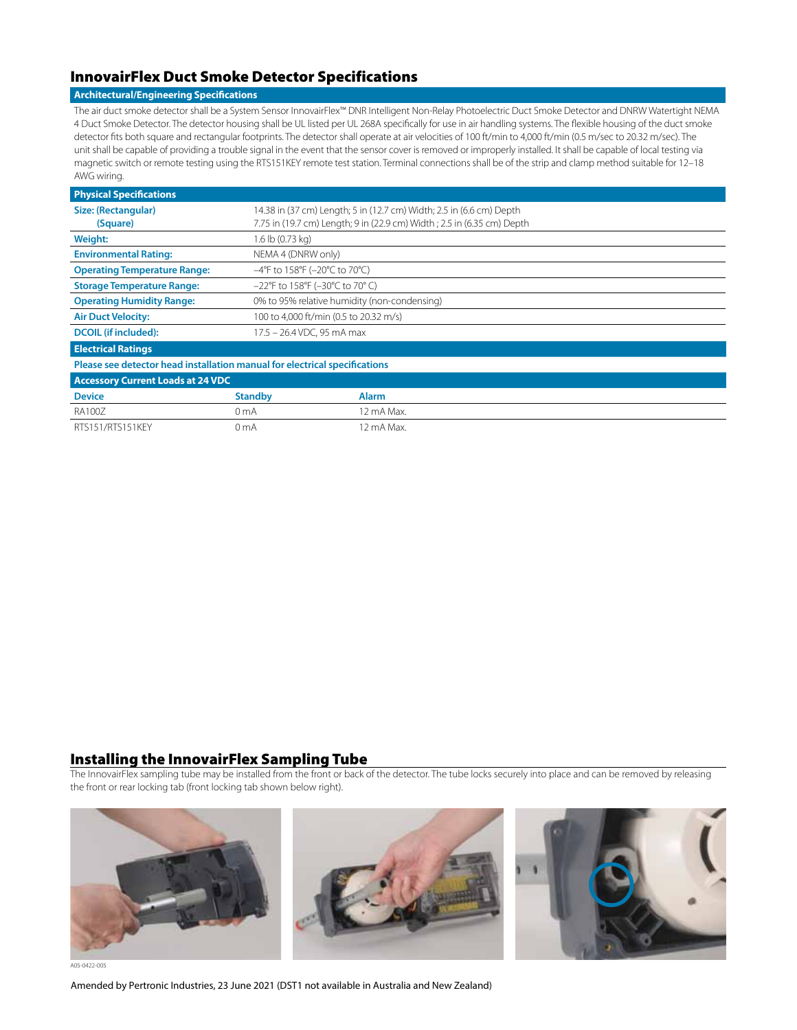# InnovairFlex Duct Smoke Detector Specifications

#### **Architectural/Engineering Specifications**

The air duct smoke detector shall be a System Sensor InnovairFlex™ DNR Intelligent Non-Relay Photoelectric Duct Smoke Detector and DNRW Watertight NEMA 4 Duct Smoke Detector. The detector housing shall be UL listed per UL 268A specifically for use in air handling systems. The flexible housing of the duct smoke detector fits both square and rectangular footprints. The detector shall operate at air velocities of 100 ft/min to 4,000 ft/min (0.5 m/sec to 20.32 m/sec). The unit shall be capable of providing a trouble signal in the event that the sensor cover is removed or improperly installed. It shall be capable of local testing via magnetic switch or remote testing using the RTS151KEY remote test station. Terminal connections shall be of the strip and clamp method suitable for 12–18 AWG wiring.

| <b>Physical Specifications</b>                                             |                                                                        |              |  |  |
|----------------------------------------------------------------------------|------------------------------------------------------------------------|--------------|--|--|
| Size: (Rectangular)                                                        | 14.38 in (37 cm) Length; 5 in (12.7 cm) Width; 2.5 in (6.6 cm) Depth   |              |  |  |
| (Square)                                                                   | 7.75 in (19.7 cm) Length; 9 in (22.9 cm) Width; 2.5 in (6.35 cm) Depth |              |  |  |
| <b>Weight:</b>                                                             | 1.6 lb (0.73 kg)                                                       |              |  |  |
| <b>Environmental Rating:</b>                                               | NEMA 4 (DNRW only)                                                     |              |  |  |
| <b>Operating Temperature Range:</b>                                        | $-4^{\circ}$ F to 158°F (−20°C to 70°C)                                |              |  |  |
| <b>Storage Temperature Range:</b>                                          | $-22^{\circ}$ F to 158°F (-30°C to 70°C)                               |              |  |  |
| <b>Operating Humidity Range:</b>                                           | 0% to 95% relative humidity (non-condensing)                           |              |  |  |
| <b>Air Duct Velocity:</b>                                                  | 100 to 4,000 ft/min (0.5 to 20.32 m/s)                                 |              |  |  |
| <b>DCOIL</b> (if included):                                                | 17.5 - 26.4 VDC, 95 mA max                                             |              |  |  |
| <b>Electrical Ratings</b>                                                  |                                                                        |              |  |  |
| Please see detector head installation manual for electrical specifications |                                                                        |              |  |  |
| <b>Accessory Current Loads at 24 VDC</b>                                   |                                                                        |              |  |  |
| <b>Device</b>                                                              | <b>Standby</b>                                                         | <b>Alarm</b> |  |  |
| <b>RA100Z</b>                                                              | 0 mA                                                                   | 12 mA Max.   |  |  |
| RTS151/RTS151KEY                                                           | 0 mA                                                                   | 12 mA Max.   |  |  |

#### Installing the InnovairFlex Sampling Tube

The InnovairFlex sampling tube may be installed from the front or back of the detector. The tube locks securely into place and can be removed by releasing the front or rear locking tab (front locking tab shown below right).



A05-0422-005

Amended by Pertronic Industries, 23 June 2021 (DST1 not available in Australia and New Zealand)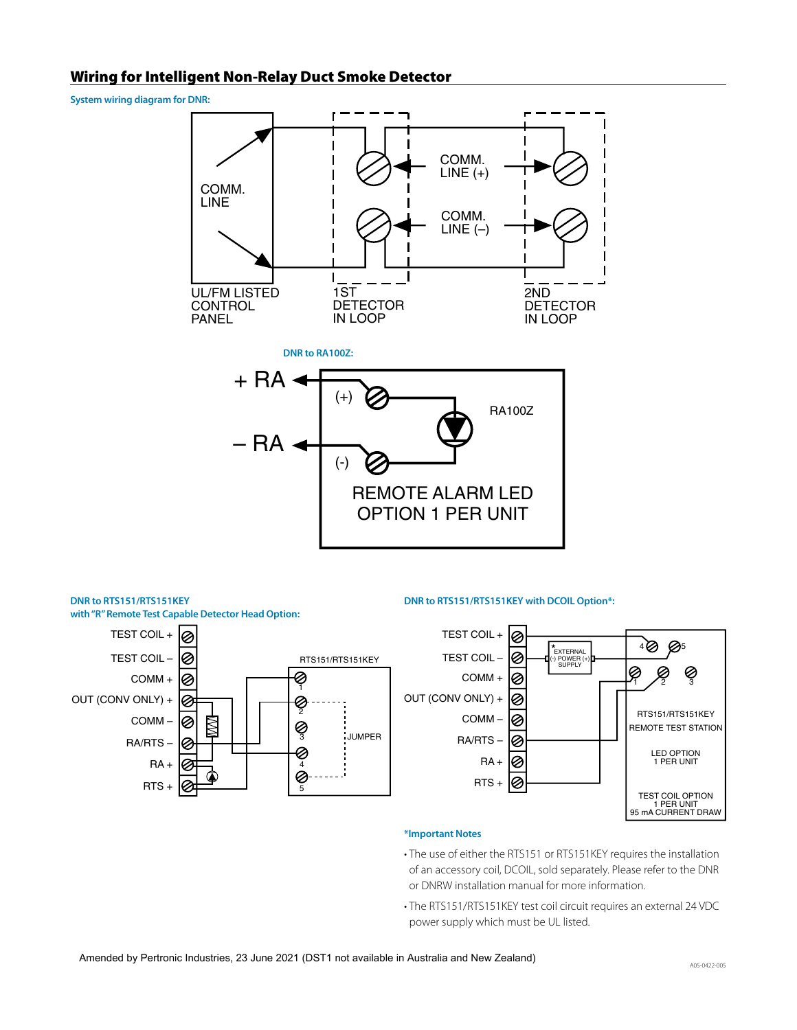## Wiring for Intelligent Non-Relay Duct Smoke Detector

**System wiring diagram for DNR:**



(-)



#### **DNR to RTS151/RTS151KEY DNR to RTS151/RTS151KEY with DCOIL Option\*:**



#### **\*Important Notes**

REMOTE ALARM LED OPTION 1 PER UNIT

- The use of either the RTS151 or RTS151KEY requires the installation of an accessory coil, DCOIL, sold separately. Please refer to the DNR or DNRW installation manual for more information.
- The RTS151/RTS151KEY test coil circuit requires an external 24 VDC power supply which must be UL listed.